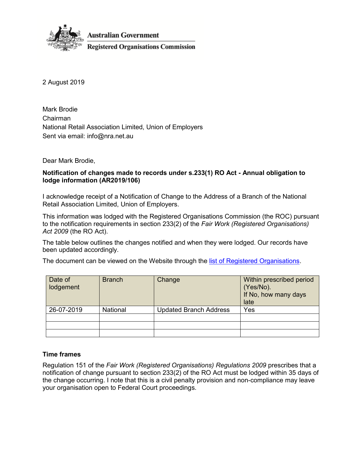

2 August 2019

Mark Brodie Chairman National Retail Association Limited, Union of Employers Sent via email: [info@nra.net.au](mailto:info@nra.net.au)

Dear Mark Brodie,

# **Notification of changes made to records under s.233(1) RO Act - Annual obligation to lodge information (AR2019/106)**

I acknowledge receipt of a Notification of Change to the Address of a Branch of the National Retail Association Limited, Union of Employers.

This information was lodged with the Registered Organisations Commission (the ROC) pursuant to the notification requirements in section 233(2) of the *Fair Work (Registered Organisations) Act 2009* (the RO Act).

The table below outlines the changes notified and when they were lodged. Our records have been updated accordingly.

The document can be viewed on the Website through the [list of Registered Organisations.](https://www.roc.gov.au/find-a-registered-organisation)

| Date of<br>lodgement | <b>Branch</b> | Change                        | Within prescribed period<br>(Yes/No).<br>If No, how many days<br>late |
|----------------------|---------------|-------------------------------|-----------------------------------------------------------------------|
| 26-07-2019           | National      | <b>Updated Branch Address</b> | Yes                                                                   |
|                      |               |                               |                                                                       |
|                      |               |                               |                                                                       |
|                      |               |                               |                                                                       |

# **Time frames**

Regulation 151 of the *Fair Work (Registered Organisations) Regulations 2009* prescribes that a notification of change pursuant to section 233(2) of the RO Act must be lodged within 35 days of the change occurring. I note that this is a civil penalty provision and non-compliance may leave your organisation open to Federal Court proceedings.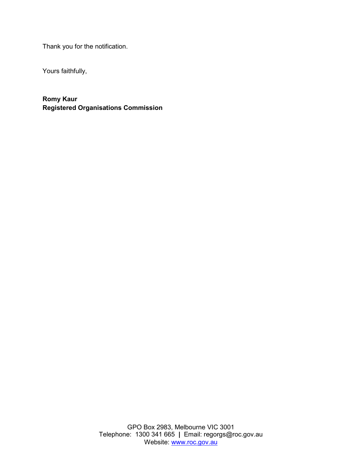Thank you for the notification.

Yours faithfully,

**Romy Kaur Registered Organisations Commission**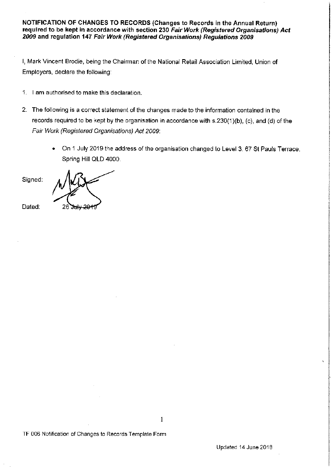### **NOTIFICATION OF CHANGES TO RECORDS (Changes to Records in the Annual Return) required to be kept in accordance with section 230 Fair Work (Registered Organisations) Act 2009 and regulation 147 Fair Work (Registered Organisations) Regulations 2009**

I, Mark Vincent Brodie, being the Chairman of the National Retail Association Limited, Union of Employers, declare the following:

- 1. I am authorised to make this declaration.
- 2. The following is a correct statement of the changes made to the information contained in the records required to be kept by the organisation in accordance with s.230(1)(b), (c), and (d) of the Fair Work (Registered Organisations) Act 2009:

1

• On 1 July 2019 the address of the organisation changed to Level 3, 67 St Pauls Terrace, Spring Hill QLD 4000.

Signed:

Dated:

TF 006 Notification of Changes to Records Template Form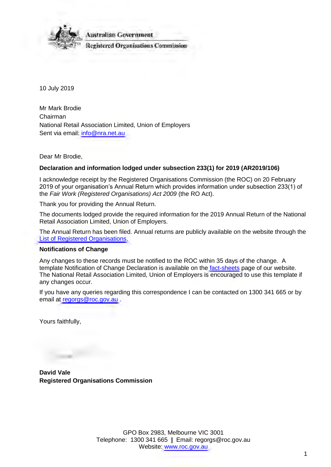

10 July 2019

Mr Mark Brodie Chairman National Retail Association Limited, Union of Employers Sent via email: [info@nra.net.au](mailto:info@nra.net.au)

Dear Mr Brodie,

# **Declaration and information lodged under subsection 233(1) for 2019 (AR2019/106)**

I acknowledge receipt by the Registered Organisations Commission (the ROC) on 20 February 2019 of your organisation's Annual Return which provides information under subsection 233(1) of the *Fair Work (Registered Organisations) Act 2009* (the RO Act).

Thank you for providing the Annual Return.

The documents lodged provide the required information for the 2019 Annual Return of the National Retail Association Limited, Union of Employers.

The Annual Return has been filed. Annual returns are publicly available on the website through the [List of Registered Organisations.](https://www.roc.gov.au/find-a-registered-organisation)

### **Notifications of Change**

Any changes to these records must be notified to the ROC within 35 days of the change. A template Notification of Change Declaration is available on the [fact-sheets](https://www.roc.gov.au/resources-and-decisions/fact-sheets-templates-and-webinars) page of our website. The National Retail Association Limited, Union of Employers is encouraged to use this template if any changes occur.

If you have any queries regarding this correspondence I can be contacted on 1300 341 665 or by email at [regorgs@roc.gov.au](mailto:regorgs@roc.gov.au) .

Yours faithfully,

**David Vale Registered Organisations Commission**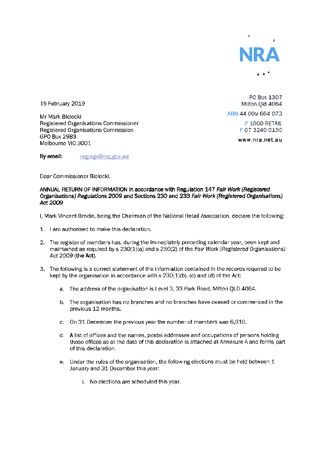

15 February 2019

Mr Mark Bielecki Registered Organisations Commissioner Registered Organisations Commission GPO Box2983 Melbourne VIC 3001

**PO Box 1307 Milton Qld 4064**  ABN 44 OOY 664 073 P 1800 RETAIL f 07 3240 0130

www.nra.net.au

By email: regorgs@roc.gov.au

Dear Commissioner Bielecki,

#### **ANNUAL RETURN OF INFORMATION in accordance with Regulation 147 Fair Work (Registered Organisations) Regulations 2009 and Sections 230 and 233 Fair Work (Registered Organisations)**  *Act2009*

- I, Mark Vincent Brodie, being the Chairman of the National Retail Association, declare the following:
- 1. I am authorised to make this declaration.
- 2. The register of members has, during the immediately preceding calendar year, been kept and maintained as required by  $s$  230(1)(a) and  $s$  230(2) of the Fair Work (Registered Organisations) Act 2009 **(the Act).**
- 3. The following is a correct statement of the information contained in the records required to be kept by the organisation in accordance with  $s$  230(1)(b), (c) and (d) of the Act:
	- a. The address of the organisation is Level 3, 33 Park Road, Milton QLD 4064.
	- b. The organisation has no branches and no branches have ceased or commenced in the previous 12 months.
	- c. On 31 December the previous year the number of members was 6,010.
	- d. A list of offices and the names, postal addresses and occupations of persons holding those offices as at the date of this declaration is attached at Annexure A and forms part of this declaration.
	- e. Under the rules of the organisation, the following elections must be held between 1 January and 31 December this year:
		- i. No elections are scheduled this year.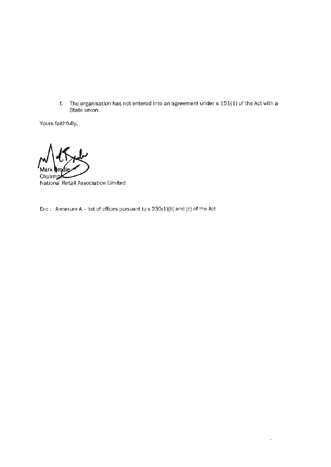f. The organisation has not entered into an agreement under s 151(1) of the Act with a State union.

 $\ddot{\phantom{0}}$ 

Yours faithfully,

Mark **trodie**<br>Chairmar<br>National Retail Association Limited

Enc : Annexure A - list of offices pursuant to  $s$  230(1)(b) and (c) of the Act